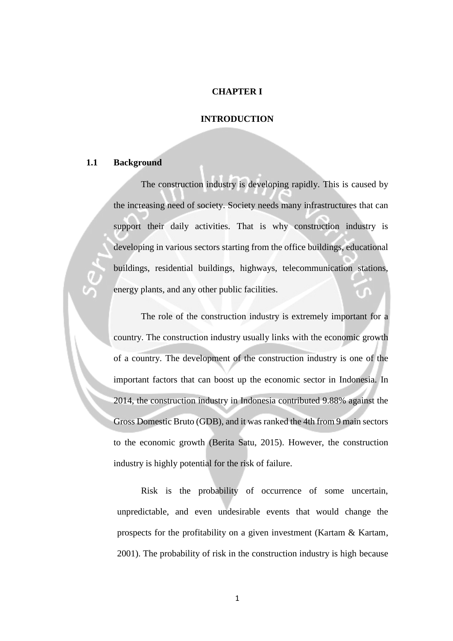#### **CHAPTER I**

#### **INTRODUCTION**

## **1.1 Background**

 The construction industry is developing rapidly. This is caused by the increasing need of society. Society needs many infrastructures that can support their daily activities. That is why construction industry is developing in various sectors starting from the office buildings, educational buildings, residential buildings, highways, telecommunication stations, energy plants, and any other public facilities.

 The role of the construction industry is extremely important for a country. The construction industry usually links with the economic growth of a country. The development of the construction industry is one of the important factors that can boost up the economic sector in Indonesia. In 2014, the construction industry in Indonesia contributed 9.88% against the Gross Domestic Bruto (GDB), and it was ranked the 4th from 9 main sectors to the economic growth (Berita Satu, 2015). However, the construction industry is highly potential for the risk of failure.

 Risk is the probability of occurrence of some uncertain, unpredictable, and even undesirable events that would change the prospects for the profitability on a given investment (Kartam & Kartam, 2001). The probability of risk in the construction industry is high because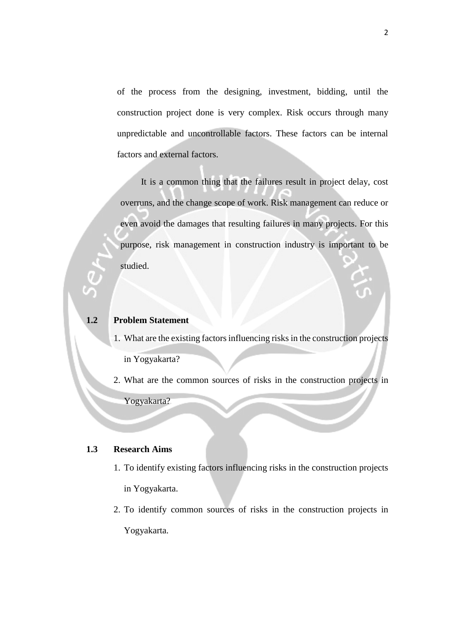of the process from the designing, investment, bidding, until the construction project done is very complex. Risk occurs through many unpredictable and uncontrollable factors. These factors can be internal factors and external factors.

 It is a common thing that the failures result in project delay, cost overruns, and the change scope of work. Risk management can reduce or even avoid the damages that resulting failures in many projects. For this purpose, risk management in construction industry is important to be studied.

#### **1.2 Problem Statement**

- 1. What are the existing factors influencing risks in the construction projects in Yogyakarta?
- 2. What are the common sources of risks in the construction projects in Yogyakarta?

### **1.3 Research Aims**

- 1. To identify existing factors influencing risks in the construction projects in Yogyakarta.
- 2. To identify common sources of risks in the construction projects in Yogyakarta.